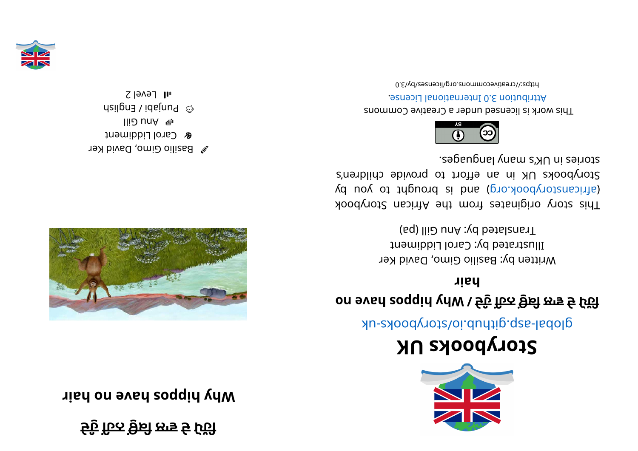**ੇ ੁੰ ਦਹ ਹਨ ਕਿ ਲਾ ਵੇ ਦੋ ੱ ਪਹਿ**

*Right* **Disponding** *h*  $\mathbf{u}$  *b*  $\mathbf{v}$  *p*  $\mathbf{v}$  *p*  $\mathbf{v}$  *p*  $\mathbf{v}$  *p*  $\mathbf{v}$  *p*  $\mathbf{v}$  *p*  $\mathbf{v}$  *p*  $\mathbf{v}$  *p*  $\mathbf{v}$  *p*  $\mathbf{v}$  *p*  $\mathbf{v}$  *p*  $\mathbf{v}$  *p*  $\mathbf{v}$  *p*  $\mathbf{v}$  *p* 



 $\gg$  Basilio Gimo, David Ker **&** Carol Liddiment



 $\omega$  bunjapi / English







## **KUskoobyr otS**

global-aspookhotal approach and above -uk

## **on evahsoppi <sup>h</sup> yh W/ੇ ੁੰ ਦਹ ਹਨ ਕਿ ਲਾ ਵੇ ਦੋ ੱ ਪਹਿ**

**ri ah**

Written by: Basilio Gimo, David Ker Illustrated by: Carol Liddiment Translated by: Ann Gill (pa)

This story originates from the African Storybook (d uoy ot tripuor ai bna (pro. koodynotanaith) Storybooks UK in an effort to provide children's segaugnal ynam langbes.



This work is licensed under a Creative Commons . esnecia 3.0 International License

https://creativecommons.org/licenses/by/3.0

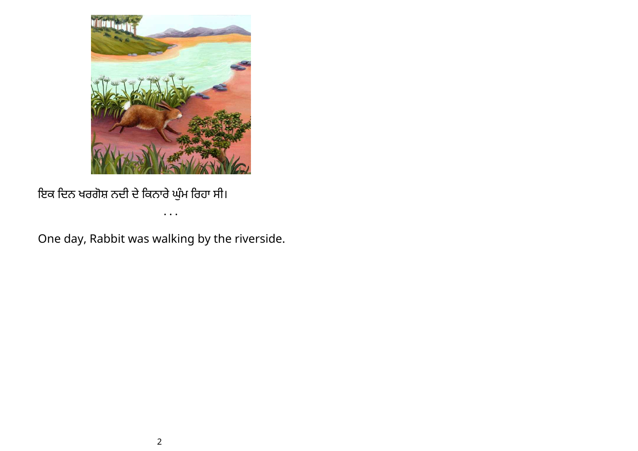

ਇਕ ਦਿਨ ਖਰਗੋਸ਼ ਨਦੀ ਦੇ ਕਿਨਾਰੇ ਘੁਮ ਰਿਹਾ ਸੀ।

• • •

One day, Rabbit was walking by the riverside.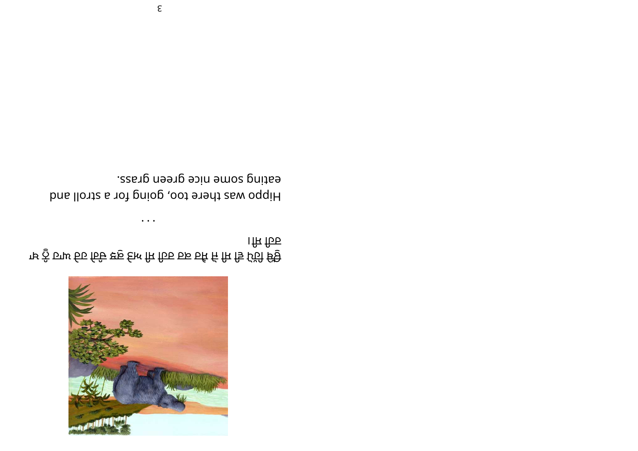

। ਸਿ ਹਿਰ ਾਖ ਨੂੰ ਹਾਘ ਓਹ ਰਿੰਦੇ ੲ਼ੁ ੬ੇੁਮ ਸਿ ਹਿਰ ਰੁਙ ਰੁਕਿ ਜਿ ਜੁਿ ਹੱਹੀ ੳਂਉ

eating some nice green grass. Hippo was there too, going for a stroll and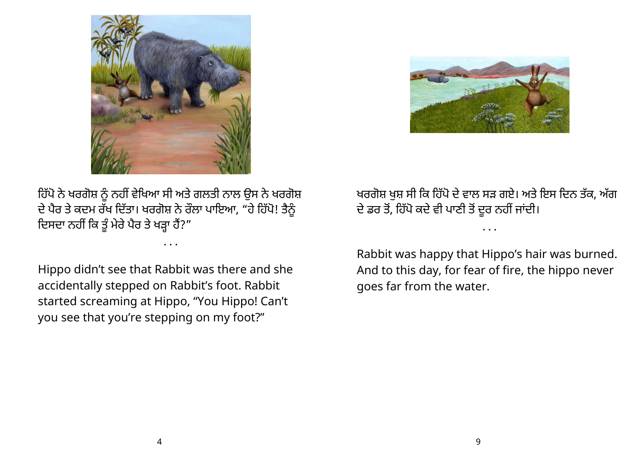



ਹਿੱਪੋ ਨੇ ਖਰਗੋਸ਼ ਨੂੰ ਨਹੀਂ ਵੇਖਿਆ ਸੀ ਅਤੇ ਗਲਤੀ ਨਾਲ ਉਸ ਨੇ ਖਰਗੋਸ਼ ਦੇ ਪੈਰ ਤੇ ਕਦਮ ਰੱਖ ਦਿੱਤਾ। ਖਰਗੋਸ਼ ਨੇ ਰੌਲਾ ਪਾਇਆ, "ਹੋ ਹਿੱਪੇ! ਤੈਨੂੰ ਦਿਸਦਾ ਨਹੀਂ ਕਿ ਤੂੰ ਮੇਰੇ ਪੈਰ ਤੇ ਖੜ੍ਹਾ ਹੈ?"

• • •

Hippo didn't see that Rabbit was there and she accidentally stepped on Rabbit's foot. Rabbit started screaming at Hippo, "You Hippo! Can't you see that you're stepping on my foot?"

ਖਰਗੋਸ਼ ਖੁਸ਼ ਸੀ ਕਿ ਹਿੱਪੋ ਦੇ ਵਾਲ ਸੜ ਗਏ। ਅਤੇ ਇਸ ਦਿਨ ਤੱਕ, ਅੱਗ ਦੇ ਡਰ ਤੇ, ਹਿਪੇ ਕਦੇ ਵੀ ਪਾਣੀ ਤੇ ਦੂਰ ਨਹੀਂ ਜਾਦੀ।

• • •

Rabbit was happy that Hippo's hair was burned. And to this day, for fear of fire, the hippo never goes far from the water.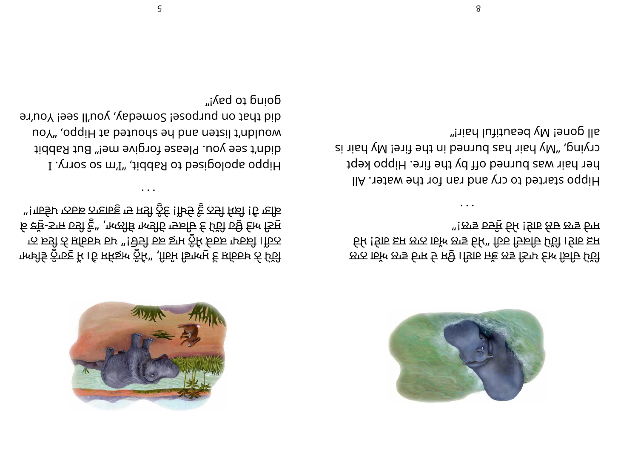

ਾਲਈਂਤ ਨੂੰਾਹਣੁ ਮਿ । ਹਿ ਸਕਿਙ਼ਲ ਨੂੰਮਿੰ" ,ਗਿਰਮਿ ਡਿਾਲਾਮੁ ਵਿ ਸ਼ਹਿਰਾਖ਼ ਨੀ ਪਿੱਹੀ ਾਨ ਕਈ ਨੀ ਸ਼ਹਿਰਖ਼ ਰਮ "! ਦੇਤੀ ਰੁਙ ਡਾਮ ਨੂੰਮਿ ਕਰਕਾ ਪਾਰਕੀ । ਹਿਨ

ਓ ਞੱਞੁ-ਤਾਜ ঢਤੀ ੬ੂੰ" ,ਾਅਲੀਓ ਾਅਤੀਓ ਾਤਕਦਿ ੬ ਪਿੱਹੀ ঢਉ ੬ਿਆ ਤਿਸੁ

"!गार्जर फत्फ का उपाय हुई !मिर्च हु ठामे स्रि !है ग्हों । " " " " अप्रै के पहुंचा"

I .<sub></sub>ynos os m'I" ,tiddsЯ ot bəsipoloqs oqqiH

doug to bay<sub>i</sub>,

• • •

diddaa tug meer oo dhaan ah. Baay iyo ah ay iyo ah ah aadaha

er' uoy bes ll'uoy, you'll see! You'll sesland not dient discussion and the mode of the most entire that discussion the model of the model of the model of the model of the model of the model of the model of the model of th

uoY" ,oqqiH ts bətuodz əd bns nətzil t'nbluow



ਲਾਨ 15ੱਅ ਲਾਤ ਓਾਸ ਓ ਸਉ। ਤਿਸ਼ਰ ਜਾੱਭ ਲਤ ਤਿਾਮ ਓਆ ਰਿਚਿ ਪਿੱਹੀ ਓਮ ! ਓ ਸ਼ਿਲ ਲਾਨ । ਇੱਕ ਲਾਤ ਓਮਿੰਘ ਹਿਰ ਦਿਕੀਓ ਪਿੱਹੀ । ਉਹ ਸ਼ਿਸ "!ਲਾਝ চੲੁੰਸੂ ਓਮਿ !ਓਇ ਲਿਓ ਲਾਝ ਰਿਸ

• • •

llA . Tet a wate a cry and ran for the water. All her hair was burned off by the fire. Hippo kept crying ya yieu yan ah ya shi ya ya ka ya kata wa kata shi ya ki all gone! My beautiful hair!"

5

8